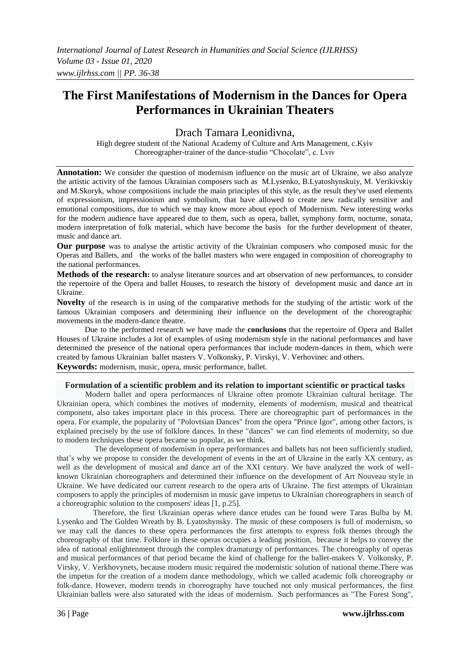# **The First Manifestations of Modernism in the Dances for Opera Performances in Ukrainian Theaters**

Drach Tamara Leonidivna,

High degree student of the National Academy of Culture and Arts Management, c.Kyiv Choreographer-trainer of the dance-studio "Chocolate", c. Lviv

**Annotation:** We consider the question of modernism influence on the music art of Ukraine, we also analyze the artistic activity of the famous Ukrainian composers such as M.Lysenko, B.Lyatoshynskuiy, M. Verikivskiy and M.Skoryk, whose compositions include the main principles of this style, as the result they've used elements of expressionism, impressionism and symbolism, that have allowed to create new radically sensitive and emotional compositions, due to which we may know more about epoch of Modernism. New interesting works for the modern audience have appeared due to them, such as opera, ballet, symphony form, nocturne, sonata, modern interpretation of folk material, which have become the basis for the further development of theater, music and dance art.

**Our purpose** was to analyse the artistic activity of the Ukrainian composers who composed music for the Operas and Ballets, and the works of the ballet masters who were engaged in composition of choreography to the national performances.

**Methods of the research:** to analyse literature sources and art observation of new performances, to consider the repertoire of the Opera and ballet Houses, to research the history of development music and dance art in Ukraine.

**Novelty** of the research is in using of the comparative methods for the studying of the artistic work of the famous Ukrainian composers and determining their influence on the development of the choreographic movements in the modern-dance theatre.

Due to the performed research we have made the **conclusions** that the repertoire of Opera and Ballet Houses of Ukraine includes a lot of examples of using modernism style in the national performances and have determined the presence of the national opera performances that include modern-dances in them, which were created by famous Ukrainian ballet masters V. Volkonsky, P. Virskyi, V. Verhovinec and others. **Keywords:** modernism, music, opera, music performance, ballet.

**Formulation of a scientific problem and its relation to important scientific or practical tasks**

Modern ballet and opera performances of Ukraine often promote Ukrainian cultural heritage. The Ukrainian opera, which combines the motives of modernity, elements of modernism, musical and theatrical component, also takes important place in this process. There are choreographic part of performances in the opera. For example, the popularity of "Polovtsian Dances" from the opera "Prince Igor", among other factors, is explained precisely by the use of folklore dances. In these "dances" we can find elements of modernity, so due to modern techniques these opera became so popular, as we think.

The development of modernism in opera performances and ballets has not been sufficiently studied, that's why we propose to consider the development of events in the art of Ukraine in the early XX century, as well as the development of musical and dance art of the XXI century. We have analyzed the work of wellknown Ukrainian choreographers and determined their influence on the development of Art Nouveau style in Ukraine. We have dedicated our current research to the opera arts of Ukraine. The first attempts of Ukrainian composers to apply the principles of modernism in music gave impetus to Ukrainian choreographers in search of a choreographic solution to the composers' ideas [1, p.25].

Therefore, the first Ukrainian operas where dance etudes can be found were Taras Bulba by M. Lysenko and The Golden Wreath by B. Lyatoshynsky. The music of these composers is full of modernism, so we may call the dances to these opera performances the first attempts to express folk themes through the choreography of that time. Folklore in these operas occupies a leading position, because it helps to convey the idea of national enlightenment through the complex dramaturgy of performances. The choreography of operas and musical performances of that period became the kind of challenge for the ballet-makers V. Volkonsky, P. Virsky, V. Verkhovynets, because modern music required the modernistic solution of national theme.There was the impetus for the creation of a modern dance methodology, which we called academic folk choreography or folk-dance. However, modern trends in choreography have touched not only musical performances, the first Ukrainian ballets were also saturated with the ideas of modernism. Such performances as "The Forest Song",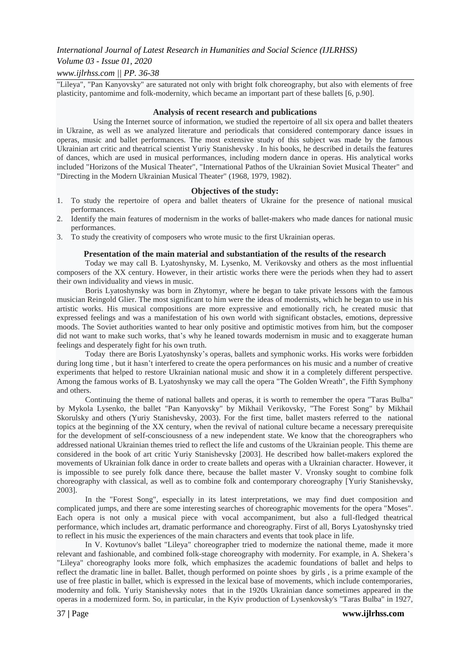## *International Journal of Latest Research in Humanities and Social Science (IJLRHSS)*

# *Volume 03 - Issue 01, 2020*

## *www.ijlrhss.com || PP. 36-38*

"Lileya", "Pan Kanyovsky" are saturated not only with bright folk choreography, but also with elements of free plasticity, pantomime and folk-modernity, which became an important part of these ballets [6, p.90].

#### **Analysis of recent research and publications**

Using the Internet source of information, we studied the repertoire of all six opera and ballet theaters in Ukraine, as well as we analyzed literature and periodicals that considered contemporary dance issues in operas, music and ballet performances. The most extensive study of this subject was made by the famous Ukrainian art critic and theatrical scientist Yuriy Stanishevsky . In his books, he described in details the features of dances, which are used in musical performances, including modern dance in operas. His analytical works included "Horizons of the Musical Theater", "International Pathos of the Ukrainian Soviet Musical Theater" and "Directing in the Modern Ukrainian Musical Theater" (1968, 1979, 1982).

## **Objectives of the study:**

- 1. To study the repertoire of opera and ballet theaters of Ukraine for the presence of national musical performances.
- 2. Identify the main features of modernism in the works of ballet-makers who made dances for national music performances.
- 3. To study the creativity of composers who wrote music to the first Ukrainian operas.

## **Presentation of the main material and substantiation of the results of the research**

Today we may call B. Lyatoshynsky, M. Lysenko, M. Verikovsky and others as the most influential composers of the XX century. However, in their artistic works there were the periods when they had to assert their own individuality and views in music.

Boris Lyatoshynsky was born in Zhytomyr, where he began to take private lessons with the famous musician Reingold Glier. The most significant to him were the ideas of modernists, which he began to use in his artistic works. His musical compositions are more expressive and emotionally rich, he created music that expressed feelings and was a manifestation of his own world with significant obstacles, emotions, depressive moods. The Soviet authorities wanted to hear only positive and optimistic motives from him, but the composer did not want to make such works, that's why he leaned towards modernism in music and to exaggerate human feelings and desperately fight for his own truth.

Today there are Boris Lyatoshynsky's operas, ballets and symphonic works. His works were forbidden during long time , but it hasn't interfered to create the opera performances on his music and a number of creative experiments that helped to restore Ukrainian national music and show it in a completely different perspective. Among the famous works of B. Lyatoshynsky we may call the opera "The Golden Wreath", the Fifth Symphony and others.

Continuing the theme of national ballets and operas, it is worth to remember the opera "Taras Bulba" by Mykola Lysenko, the ballet "Pan Kanyovsky" by Mikhail Verikovsky, "The Forest Song" by Mikhail Skorulsky and others (Yuriy Stanishevsky, 2003). For the first time, ballet masters referred to the national topics at the beginning of the XX century, when the revival of national culture became a necessary prerequisite for the development of self-consciousness of a new independent state. We know that the choreographers who addressed national Ukrainian themes tried to reflect the life and customs of the Ukrainian people. This theme are considered in the book of art critic Yuriy Stanishevsky [2003]. He described how ballet-makers explored the movements of Ukrainian folk dance in order to create ballets and operas with a Ukrainian character. However, it is impossible to see purely folk dance there, because the ballet master V. Vronsky sought to combine folk choreography with classical, as well as to combine folk and contemporary choreography [Yuriy Stanishevsky, 2003].

In the "Forest Song", especially in its latest interpretations, we may find duet composition and complicated jumps, and there are some interesting searches of choreographic movements for the opera "Moses". Each opera is not only a musical piece with vocal accompaniment, but also a full-fledged theatrical performance, which includes art, dramatic performance and choreography. First of all, Borys Lyatoshynsky tried to reflect in his music the experiences of the main characters and events that took place in life.

In V. Kovtunov's ballet "Lileya" choreographer tried to modernize the national theme, made it more relevant and fashionable, and combined folk-stage choreography with modernity. For example, in A. Shekera's "Lileya" choreography looks more folk, which emphasizes the academic foundations of ballet and helps to reflect the dramatic line in ballet. Ballet, though performed on pointe shoes by girls , is a prime example of the use of free plastic in ballet, which is expressed in the lexical base of movements, which include contemporaries, modernity and folk. Yuriy Stanishevsky notes that in the 1920s Ukrainian dance sometimes appeared in the operas in a modernized form. So, in particular, in the Kyiv production of Lysenkovsky's "Taras Bulba" in 1927,